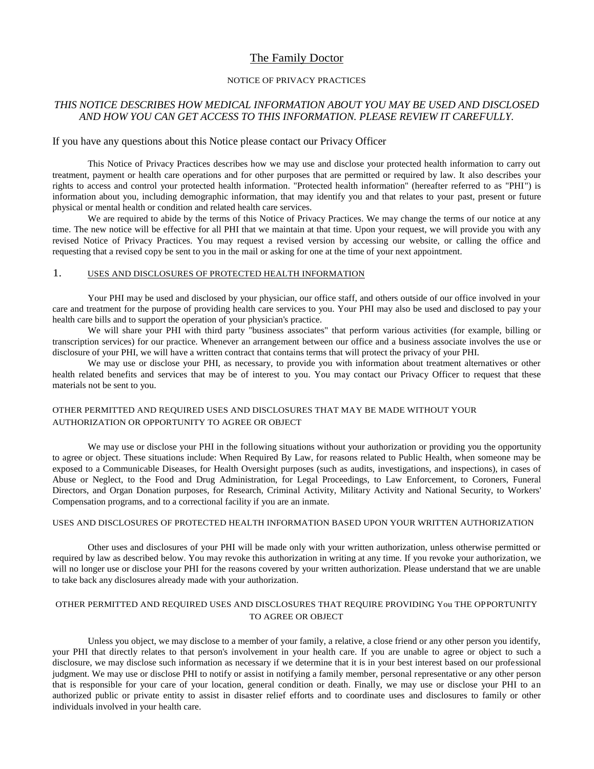# The Family Doctor

## NOTICE OF PRIVACY PRACTICES

# *THIS NOTICE DESCRIBES HOW MEDICAL INFORMATION ABOUT YOU MAY BE USED AND DISCLOSED AND HOW YOU CAN GET ACCESS TO THIS INFORMATION. PLEASE REVIEW IT CAREFULLY.*

### If you have any questions about this Notice please contact our Privacy Officer

This Notice of Privacy Practices describes how we may use and disclose your protected health information to carry out treatment, payment or health care operations and for other purposes that are permitted or required by law. It also describes your rights to access and control your protected health information. "Protected health information" (hereafter referred to as "PHI") is information about you, including demographic information, that may identify you and that relates to your past, present or future physical or mental health or condition and related health care services.

We are required to abide by the terms of this Notice of Privacy Practices. We may change the terms of our notice at any time. The new notice will be effective for all PHI that we maintain at that time. Upon your request, we will provide you with any revised Notice of Privacy Practices. You may request a revised version by accessing our website, or calling the office and requesting that a revised copy be sent to you in the mail or asking for one at the time of your next appointment.

### 1. USES AND DISCLOSURES OF PROTECTED HEALTH INFORMATION

Your PHI may be used and disclosed by your physician, our office staff, and others outside of our office involved in your care and treatment for the purpose of providing health care services to you. Your PHI may also be used and disclosed to pay your health care bills and to support the operation of your physician's practice.

We will share your PHI with third party "business associates" that perform various activities (for example, billing or transcription services) for our practice. Whenever an arrangement between our office and a business associate involves the use or disclosure of your PHI, we will have a written contract that contains terms that will protect the privacy of your PHI.

We may use or disclose your PHI, as necessary, to provide you with information about treatment alternatives or other health related benefits and services that may be of interest to you. You may contact our Privacy Officer to request that these materials not be sent to you.

# OTHER PERMITTED AND REQUIRED USES AND DISCLOSURES THAT MAY BE MADE WITHOUT YOUR AUTHORIZATION OR OPPORTUNITY TO AGREE OR OBJECT

We may use or disclose your PHI in the following situations without your authorization or providing you the opportunity to agree or object. These situations include: When Required By Law, for reasons related to Public Health, when someone may be exposed to a Communicable Diseases, for Health Oversight purposes (such as audits, investigations, and inspections), in cases of Abuse or Neglect, to the Food and Drug Administration, for Legal Proceedings, to Law Enforcement, to Coroners, Funeral Directors, and Organ Donation purposes, for Research, Criminal Activity, Military Activity and National Security, to Workers' Compensation programs, and to a correctional facility if you are an inmate.

#### USES AND DISCLOSURES OF PROTECTED HEALTH INFORMATION BASED UPON YOUR WRITTEN AUTHORIZATION

Other uses and disclosures of your PHI will be made only with your written authorization, unless otherwise permitted or required by law as described below. You may revoke this authorization in writing at any time. If you revoke your authorization, we will no longer use or disclose your PHI for the reasons covered by your written authorization. Please understand that we are unable to take back any disclosures already made with your authorization.

### OTHER PERMITTED AND REQUIRED USES AND DISCLOSURES THAT REQUIRE PROVIDING You THE OPPORTUNITY TO AGREE OR OBJECT

Unless you object, we may disclose to a member of your family, a relative, a close friend or any other person you identify, your PHI that directly relates to that person's involvement in your health care. If you are unable to agree or object to such a disclosure, we may disclose such information as necessary if we determine that it is in your best interest based on our professional judgment. We may use or disclose PHI to notify or assist in notifying a family member, personal representative or any other person that is responsible for your care of your location, general condition or death. Finally, we may use or disclose your PHI to an authorized public or private entity to assist in disaster relief efforts and to coordinate uses and disclosures to family or other individuals involved in your health care.